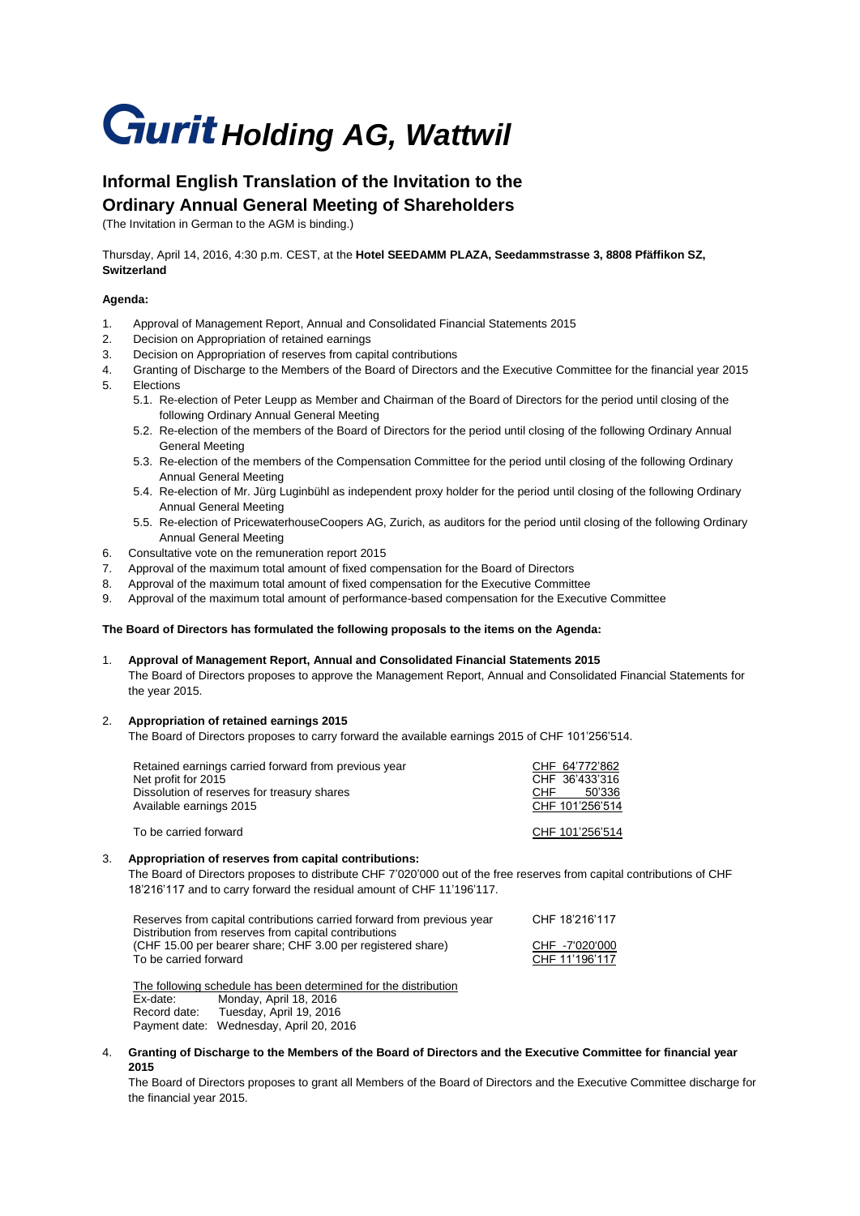# **Gurit Holding AG, Wattwil**

## **Informal English Translation of the Invitation to the Ordinary Annual General Meeting of Shareholders**

(The Invitation in German to the AGM is binding.)

Thursday, April 14, 2016, 4:30 p.m. CEST, at the **Hotel SEEDAMM PLAZA, Seedammstrasse 3, 8808 Pfäffikon SZ, Switzerland**

### **Agenda:**

- 1. Approval of Management Report, Annual and Consolidated Financial Statements 2015
- 2. Decision on Appropriation of retained earnings
- 3. Decision on Appropriation of reserves from capital contributions
- 4. Granting of Discharge to the Members of the Board of Directors and the Executive Committee for the financial year 2015 5. Elections
	- 5.1. Re-election of Peter Leupp as Member and Chairman of the Board of Directors for the period until closing of the following Ordinary Annual General Meeting
	- 5.2. Re-election of the members of the Board of Directors for the period until closing of the following Ordinary Annual General Meeting
	- 5.3. Re-election of the members of the Compensation Committee for the period until closing of the following Ordinary Annual General Meeting
	- 5.4. Re-election of Mr. Jürg Luginbühl as independent proxy holder for the period until closing of the following Ordinary Annual General Meeting
	- 5.5. Re-election of PricewaterhouseCoopers AG, Zurich, as auditors for the period until closing of the following Ordinary Annual General Meeting
- 6. Consultative vote on the remuneration report 2015
- 7. Approval of the maximum total amount of fixed compensation for the Board of Directors
- 8. Approval of the maximum total amount of fixed compensation for the Executive Committee
- 9. Approval of the maximum total amount of performance-based compensation for the Executive Committee

#### **The Board of Directors has formulated the following proposals to the items on the Agenda:**

1. **Approval of Management Report, Annual and Consolidated Financial Statements 2015** The Board of Directors proposes to approve the Management Report, Annual and Consolidated Financial Statements for the year 2015.

#### 2. **Appropriation of retained earnings 2015**

The Board of Directors proposes to carry forward the available earnings 2015 of CHF 101'256'514.

| Retained earnings carried forward from previous year<br>Net profit for 2015<br>Dissolution of reserves for treasury shares<br>Available earnings 2015 | CHF 64'772'862<br>CHF 36'433'316<br>50'336<br><b>CHF</b><br>CHF 101'256'514 |
|-------------------------------------------------------------------------------------------------------------------------------------------------------|-----------------------------------------------------------------------------|
| To be carried forward                                                                                                                                 | CHF 101'256'514                                                             |

#### 3. **Appropriation of reserves from capital contributions:**

The Board of Directors proposes to distribute CHF 7'020'000 out of the free reserves from capital contributions of CHF 18'216'117 and to carry forward the residual amount of CHF 11'196'117.

| Reserves from capital contributions carried forward from previous year<br>Distribution from reserves from capital contributions | CHF 18'216'117                   |
|---------------------------------------------------------------------------------------------------------------------------------|----------------------------------|
| (CHF 15.00 per bearer share; CHF 3.00 per registered share)<br>To be carried forward                                            | CHF -7'020'000<br>CHF 11'196'117 |
|                                                                                                                                 |                                  |

The following schedule has been determined for the distribution Ex-date: Monday, April 18, 2016 Record date: Tuesday, April 19, 2016 Payment date: Wednesday, April 20, 2016

4. **Granting of Discharge to the Members of the Board of Directors and the Executive Committee for financial year 2015**

The Board of Directors proposes to grant all Members of the Board of Directors and the Executive Committee discharge for the financial year 2015.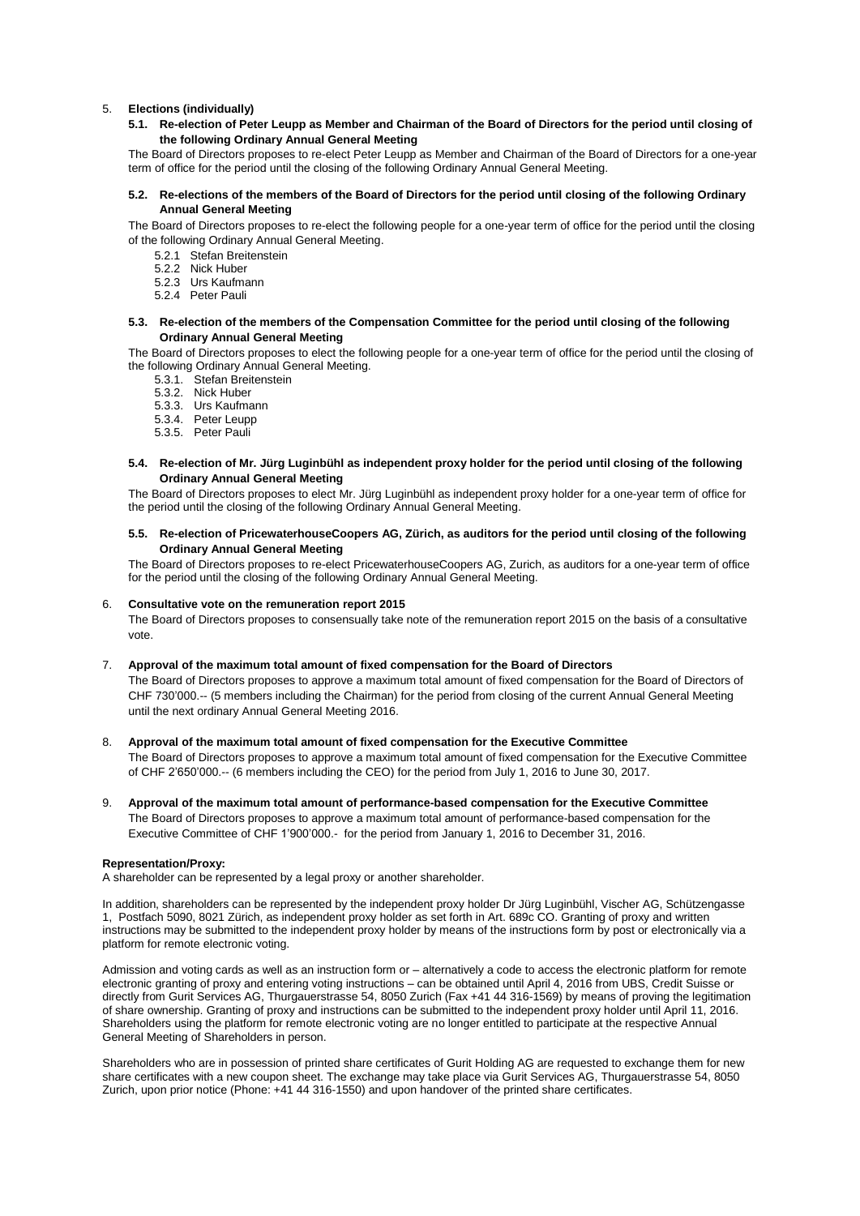#### 5. **Elections (individually)**

**5.1. Re-election of Peter Leupp as Member and Chairman of the Board of Directors for the period until closing of the following Ordinary Annual General Meeting** 

The Board of Directors proposes to re-elect Peter Leupp as Member and Chairman of the Board of Directors for a one-year term of office for the period until the closing of the following Ordinary Annual General Meeting.

#### **5.2. Re-elections of the members of the Board of Directors for the period until closing of the following Ordinary Annual General Meeting**

The Board of Directors proposes to re-elect the following people for a one-year term of office for the period until the closing of the following Ordinary Annual General Meeting.

- 5.2.1 Stefan Breitenstein
- 5.2.2 Nick Huber
- 5.2.3 Urs Kaufmann
- 5.2.4 Peter Pauli

#### **5.3. Re-election of the members of the Compensation Committee for the period until closing of the following Ordinary Annual General Meeting**

The Board of Directors proposes to elect the following people for a one-year term of office for the period until the closing of the following Ordinary Annual General Meeting.

- 5.3.1. Stefan Breitenstein
	- 5.3.2. Nick Huber
- 5.3.3. Urs Kaufmann
- 5.3.4. Peter Leupp
- 5.3.5. Peter Pauli
- **5.4. Re-election of Mr. Jürg Luginbühl as independent proxy holder for the period until closing of the following Ordinary Annual General Meeting**

The Board of Directors proposes to elect Mr. Jürg Luginbühl as independent proxy holder for a one-year term of office for the period until the closing of the following Ordinary Annual General Meeting.

**5.5. Re-election of PricewaterhouseCoopers AG, Zürich, as auditors for the period until closing of the following Ordinary Annual General Meeting**

The Board of Directors proposes to re-elect PricewaterhouseCoopers AG, Zurich, as auditors for a one-year term of office for the period until the closing of the following Ordinary Annual General Meeting.

#### 6. **Consultative vote on the remuneration report 2015**

The Board of Directors proposes to consensually take note of the remuneration report 2015 on the basis of a consultative vote.

#### 7. **Approval of the maximum total amount of fixed compensation for the Board of Directors**

The Board of Directors proposes to approve a maximum total amount of fixed compensation for the Board of Directors of CHF 730'000.-- (5 members including the Chairman) for the period from closing of the current Annual General Meeting until the next ordinary Annual General Meeting 2016.

- 8. **Approval of the maximum total amount of fixed compensation for the Executive Committee** The Board of Directors proposes to approve a maximum total amount of fixed compensation for the Executive Committee of CHF 2'650'000.-- (6 members including the CEO) for the period from July 1, 2016 to June 30, 2017.
- 9. **Approval of the maximum total amount of performance-based compensation for the Executive Committee** The Board of Directors proposes to approve a maximum total amount of performance-based compensation for the Executive Committee of CHF 1'900'000.- for the period from January 1, 2016 to December 31, 2016.

#### **Representation/Proxy:**

A shareholder can be represented by a legal proxy or another shareholder.

In addition, shareholders can be represented by the independent proxy holder Dr Jürg Luginbühl, Vischer AG, Schützengasse 1, Postfach 5090, 8021 Zürich, as independent proxy holder as set forth in Art. 689c CO. Granting of proxy and written instructions may be submitted to the independent proxy holder by means of the instructions form by post or electronically via a platform for remote electronic voting.

Admission and voting cards as well as an instruction form or – alternatively a code to access the electronic platform for remote electronic granting of proxy and entering voting instructions – can be obtained until April 4, 2016 from UBS, Credit Suisse or directly from Gurit Services AG, Thurgauerstrasse 54, 8050 Zurich (Fax +41 44 316-1569) by means of proving the legitimation of share ownership. Granting of proxy and instructions can be submitted to the independent proxy holder until April 11, 2016. Shareholders using the platform for remote electronic voting are no longer entitled to participate at the respective Annual General Meeting of Shareholders in person.

Shareholders who are in possession of printed share certificates of Gurit Holding AG are requested to exchange them for new share certificates with a new coupon sheet. The exchange may take place via Gurit Services AG, Thurgauerstrasse 54, 8050 Zurich, upon prior notice (Phone: +41 44 316-1550) and upon handover of the printed share certificates.